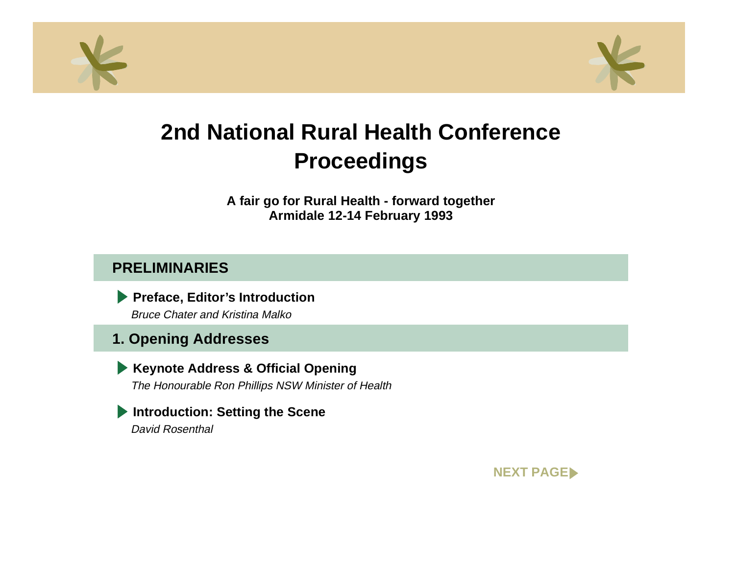<span id="page-0-0"></span>



**A fair go for Rural Health - forward together Armidale 12-14 February 1993**

## **PRELIMINARIES**

**Preface, Editor's Introduction** Bruce Chater and Kristina Malko

## **1. Opening Addresses**

**Keynote Address & Official Opening** The Honourable Ron Phillips NSW Minister of Health

**Introduction: Setting the Scene** David Rosenthal

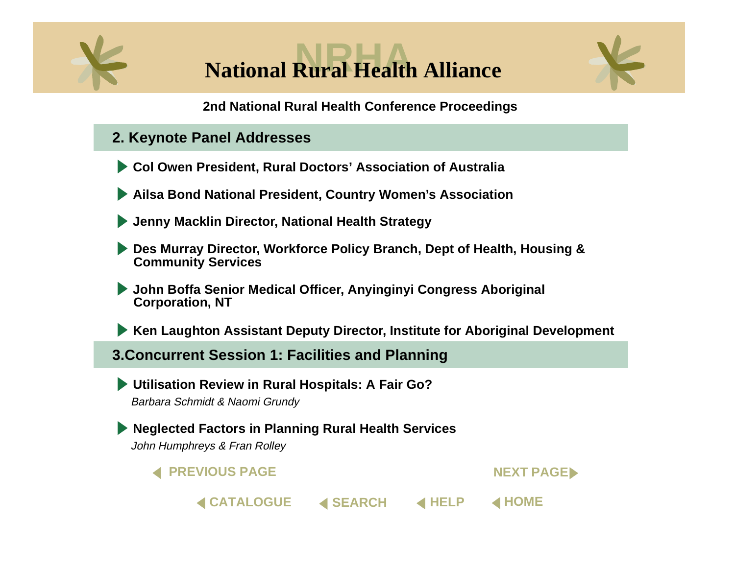<span id="page-1-0"></span>



- **2. Keynote Panel Addresses**
- **[Col Owen President, Rural Doctors' Association of Australi](#page-0-0)a**
- **[Ailsa Bond National President, Country Women's Associatio](#page-0-0)n**
- **[Jenny Macklin Director, National Health Strategy](#page-0-0)**
- **[Des Murray Director, Workforce Policy Branch, Dept of Health, Housing &](#page-0-0)  Community Services**
- **[John Boffa Senior Medical Officer, Anyinginyi Congress Aboriginal](#page-0-0)  Corporation, NT**
- **[Ken Laughton Assistant Deputy Director, Institute for Aboriginal Developmen](#page-0-0)t**

**◀ [SEARCH](#page-0-0)** 

#### **3.Concurrent Session 1: Facilities and Planning**

**[Utilisation Review in Rural Hospitals: A Fair Go](#page-0-0)?** Barbara Schmidt & Naomi Grundy

**[Neglected Factors in Planning Rural Health Services](#page-0-0)** John Humphreys & Fran Rolley

**4 PREVIOUS PAGE** 

**[CATALOGUE](#page-0-0)**

**NEXT PAGED** 

**[HELP](#page-0-0) [HOME](#page-0-0)**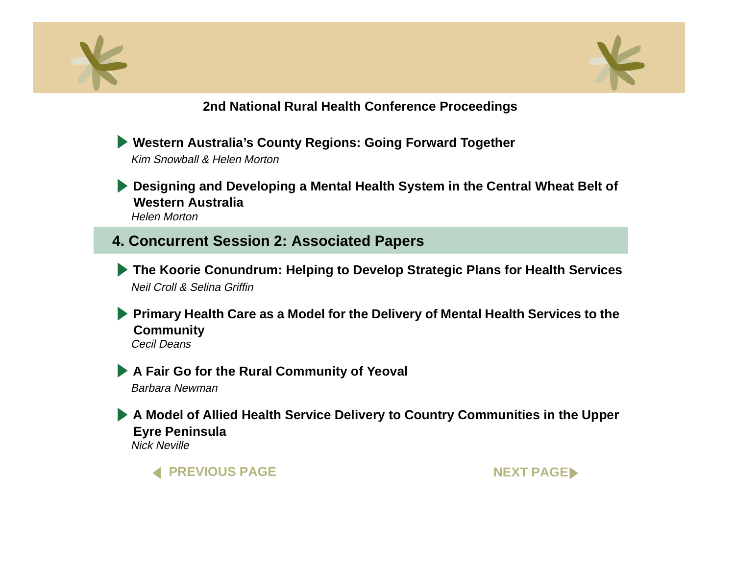<span id="page-2-0"></span>



**[Western Australia's County Regions: Going Forward Together](#page-0-0)** Kim Snowball & Helen Morton

**[Designing and Developing a Mental Health System in the Central Wheat Belt of](#page-0-0) Western Australia**Helen Morton

**4. Concurrent Session 2: Associated Papers**

**[The Koorie Conundrum: Helping to Develop Strategic Plans for Health Services](#page-0-0)** Neil Croll & Selina Griffin

**Primary Health Care as a Model for the Delivery of Mental Health Services to the Community** Cecil Deans

**[A Fair Go for the Rural Community of Yeoval](#page-0-0)**

Barbara Newman

**[A Model of Allied Health Service Delivery to Country Communities in the Uppe](#page-0-0)r Eyre Peninsula** Nick Neville

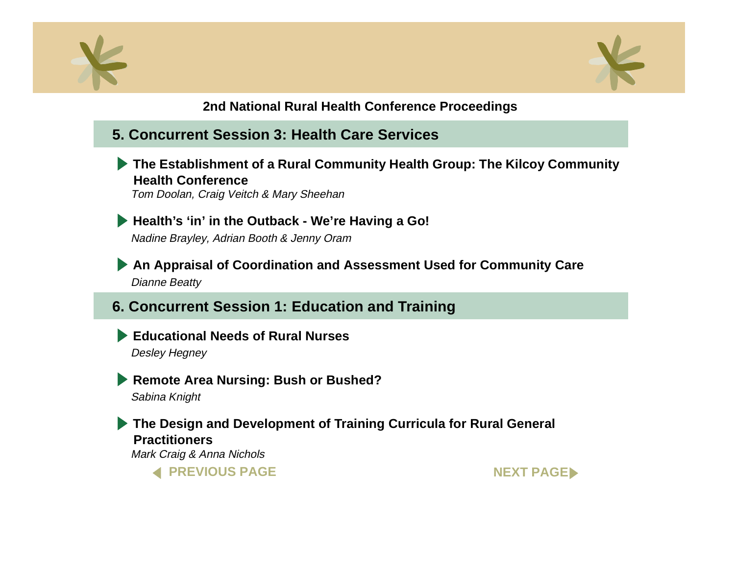<span id="page-3-0"></span>



## **5. Concurrent Session 3: Health Care Services**

**[The Establishment of a Rural Community Health Group: The Kilcoy Communit](#page-0-0)y Health Conference**

Tom Doolan, Craig Veitch & Mary Sheehan

**[Health's 'in' in the Outback - We're Having a Go!](#page-0-0)** Nadine Brayley, Adrian Booth & Jenny Oram

**[An Appraisal of Coordination and Assessment Used for Community Car](#page-0-0)e** Dianne Beatty

**6. Concurrent Session 1: Education and Training**

**[Educational Needs of Rural Nurses](#page-0-0)**Desley Hegney

**[Remote Area Nursing: Bush or Bushed?](#page-0-0)**

Sabina Knight

**[The Design and Development of Training Curricula for Rural General](#page-0-0)  Practitioners**Mark Craig & Anna Nichols

**4 PREVIOUS PAGE** 

**NEXT PAGE**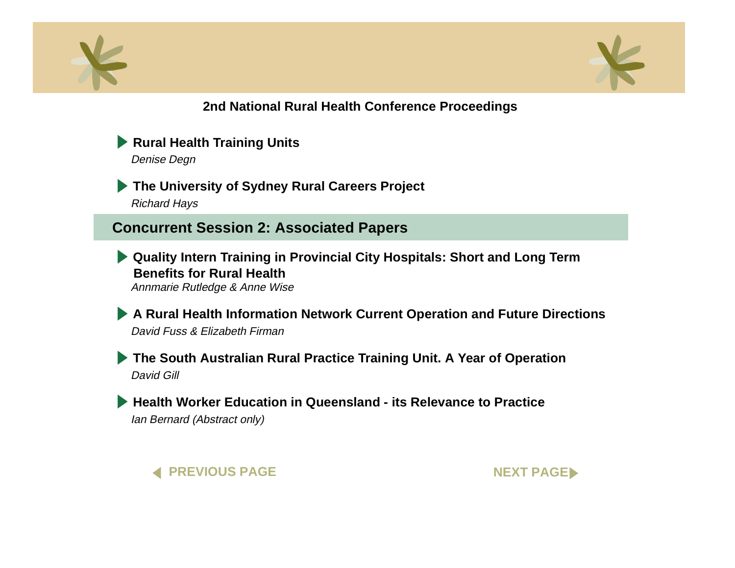<span id="page-4-0"></span>



**[Rural Health Training Units](#page-0-0)** 

Denise Degn

**[The University of Sydney Rural Careers Project](#page-0-0)** Richard Hays

**Concurrent Session 2: Associated Papers** 

**[Quality Intern Training in Provincial City Hospitals: Short and Long Term](#page-0-0) Benefits for Rural Health**Annmarie Rutledge & Anne Wise

**[A Rural Health Information Network Current Operation and Future Directions](#page-0-0)** David Fuss & Elizabeth Firman

**[The South Australian Rural Practice Training Unit. A Year of Operation](#page-0-0)**  David Gill

**[Health Worker Education in Queensland - its Relevance to Practice](#page-0-0)** Ian Bernard (Abstract only)



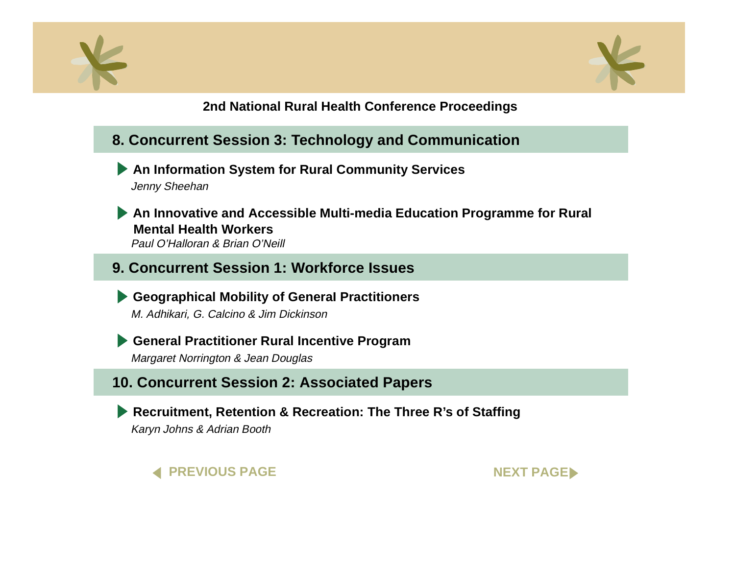<span id="page-5-0"></span>



- **8. Concurrent Session 3: Technology and Communication**
	- **[An Information System for Rural Community Service](#page-0-0)s** Jenny Sheehan
	- **[An Innovative and Accessible Multi-media Education Programme for Rura](#page-0-0)l Mental Health Workers**Paul O'Halloran & Brian O'Neill
- **9. Concurrent Session 1: Workforce Issues**

**[Geographical Mobility of GeneraI Practitioners](#page-0-0)** M. Adhikari, G. Calcino & Jim Dickinson

**[General Practitioner Rural Incentive Program](#page-0-0)**

Margaret Norrington & Jean Douglas

**10. Concurrent Session 2: Associated Papers**

**[Recruitment, Retention & Recreation: The Three R's of Staffing](#page-0-0)** Karyn Johns & Adrian Booth



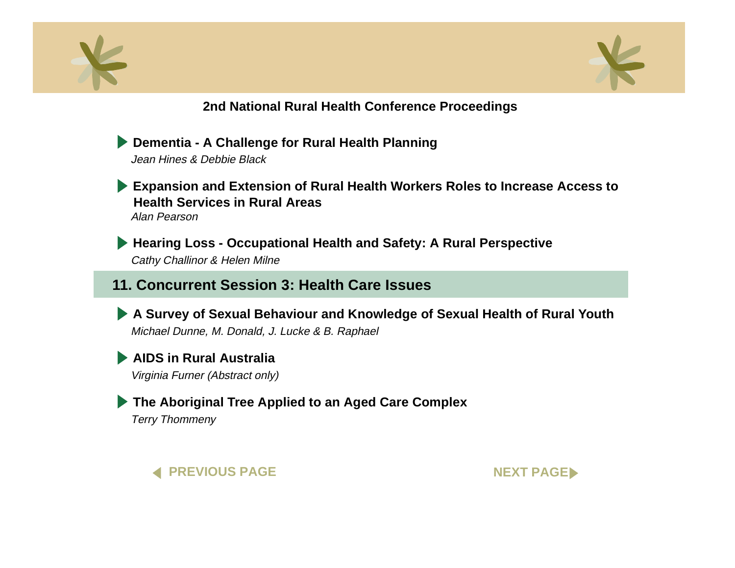<span id="page-6-0"></span>



**[Dementia - A Challenge for Rural Health Planning](#page-0-0)** Jean Hines & Debbie Black

**[Expansion and Extension of Rural Health Workers Roles to Increase Access to](#page-0-0) Health Services in Rural Areas**Alan Pearson

**[Hearing Loss - Occupational Health and Safety: A Rural Perspective](#page-0-0)** Cathy Challinor & Helen Milne

## **11. Concurrent Session 3: Health Care Issues**

**[A Survey of Sexual Behaviour and Knowledge of Sexual Health of Rural Youth](#page-0-0)** Michael Dunne, M. Donald, J. Lucke & B. Raphael

**[AIDS in Rural Australia](#page-0-0)**

Virginia Furner (Abstract only)

**[The Aboriginal Tree Applied to an Aged Care Complex](#page-0-0)**

Terry Thommeny



**NEXT PAGE**